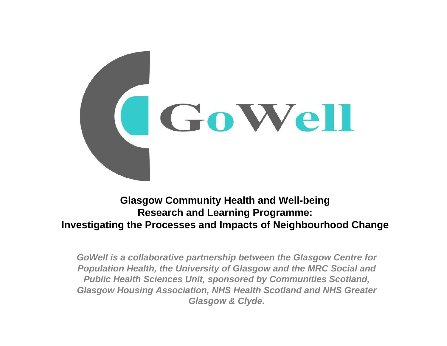

#### **Glasgow Community Health and Well-being Research and Learning Programme: Investigating the Processes and Impacts of Neighbourhood Change**

*GoWell is a collaborative partnership between the Glasgow Centre for Population Health, the University of Glasgow and the MRC Social and Public Health Sciences Unit, sponsored by Communities Scotland, Glasgow Housing Association, NHS Health Scotland and NHS Greater Glasgow & Clyde.*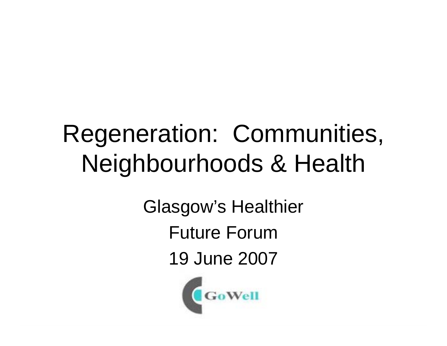### Regeneration: Communities, Neighbourhoods & Health

Glasgow's Healthier Future Forum19 June 2007

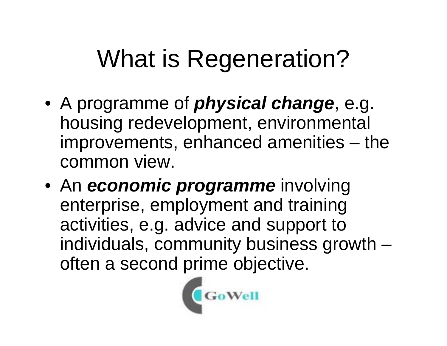# What is Regeneration?

- A programme of *physical change*, e.g. housing redevelopment, environmental improvements, enhanced amenities – the common view.
- An *economic programme* involving enterprise, employment and training activities, e.g. advice and support to individuals, community business growth – often a second prime objective.

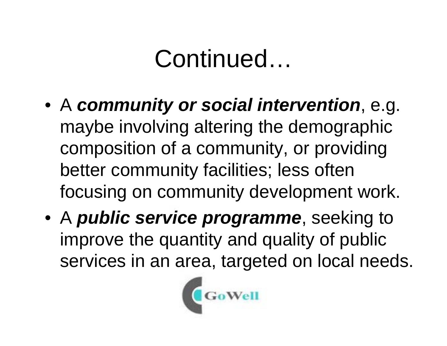## Continued…

- A *community or social intervention*, e.g. maybe involving altering the demographic composition of a community, or providing better community facilities; less often focusing on community development work.
- A *public service programme*, seeking to improve the quantity and quality of public services in an area, targeted on local needs.

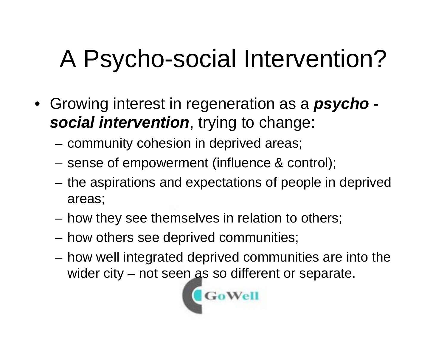# A Psycho-social Intervention?

- Growing interest in regeneration as a *psycho social intervention*, trying to change:
	- –community cohesion in deprived areas;
	- –sense of empowerment (influence & control);
	- – the aspirations and expectations of people in deprived areas;
	- and the state of the how they see themselves in relation to others;
	- and the state of the how others see deprived communities;
	- and the state of the how well integrated deprived communities are into the wider city – not seen as so different or separate.

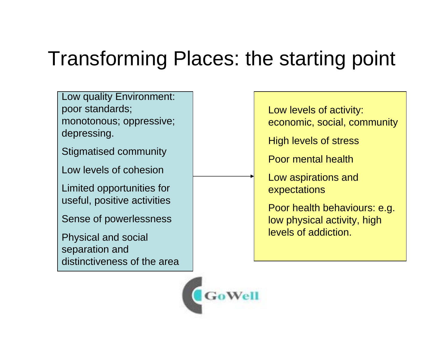### Transforming Places: the starting point

Low quality Environment: poor standards; monotonous; oppressive; depressing.

Stigmatised community

Low levels of cohesion

Limited opportunities for useful, positive activities

Sense of powerlessness

Physical and social separation and distinctiveness of the area Low levels of activity: economic, social, community High levels of stress Poor mental healthLow aspirations and expectations Poor health behaviours: e.g. low physical activity, high levels of addiction.

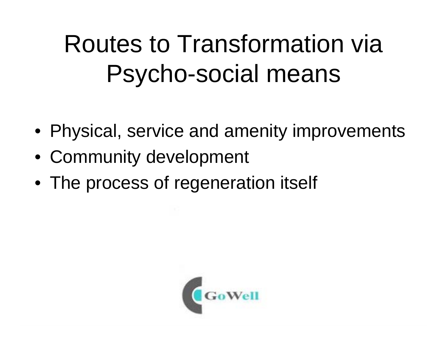# Routes to Transformation via Psycho-social means

- Physical, service and amenity improvements
- Community development
- The process of regeneration itself

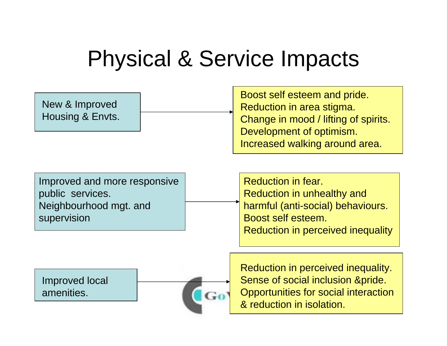### Physical & Service Impacts

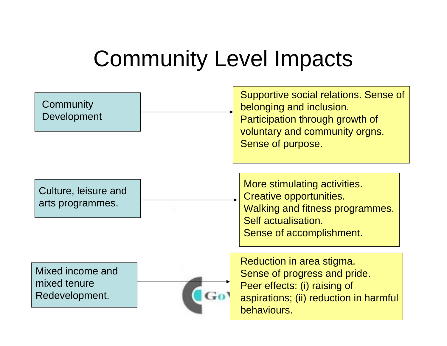### Community Level Impacts

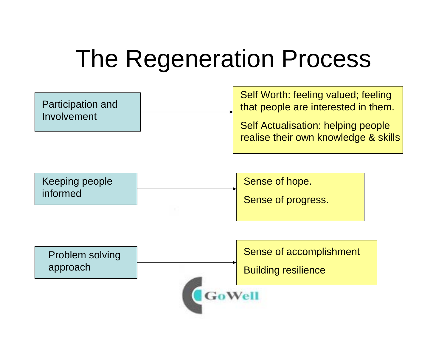## The Regeneration Process

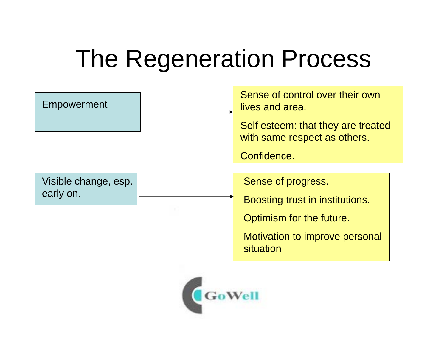## The Regeneration Process



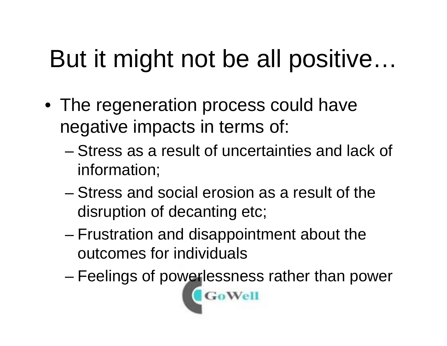# But it might not be all positive…

- The regeneration process could have negative impacts in terms of:
	- Stress as a result of uncertainties and lack of information;
	- Stress and social erosion as a result of the disruption of decanting etc;
	- – Frustration and disappointment about the outcomes for individuals
	- and the state of the state Feelings of powerlessness rather than power

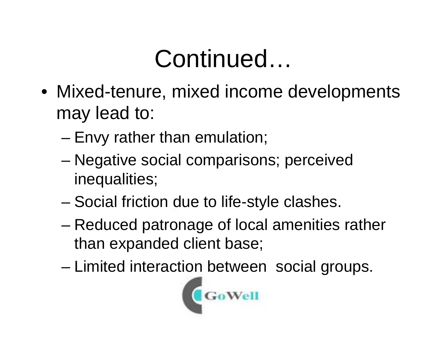## Continued…

- Mixed-tenure, mixed income developments may lead to:
	- –Envy rather than emulation;
	- – Negative social comparisons; perceived inequalities;
	- –Social friction due to life-style clashes.
	- – Reduced patronage of local amenities rather than expanded client base;
	- –Limited interaction between social groups.

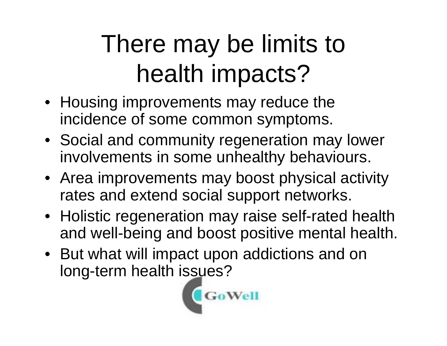# There may be limits to health impacts?

- Housing improvements may reduce the incidence of some common symptoms.
- Social and community regeneration may lower involvements in some unhealthy behaviours.
- Area improvements may boost physical activity rates and extend social support networks.
- Holistic regeneration may raise self-rated health and well-being and boost positive mental health.
- But what will impact upon addictions and on long-term health issues?

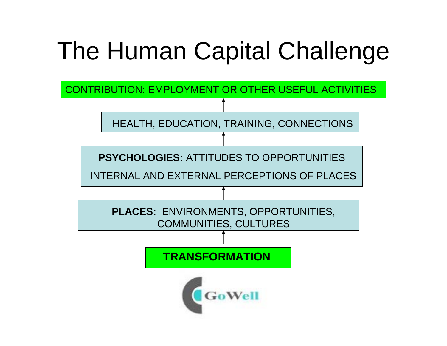# The Human Capital Challenge

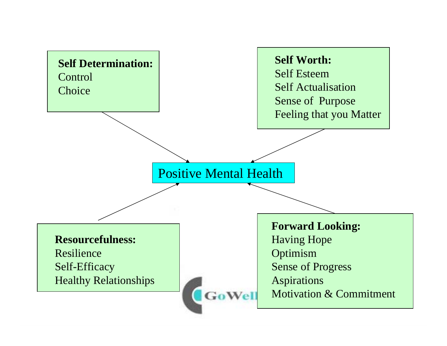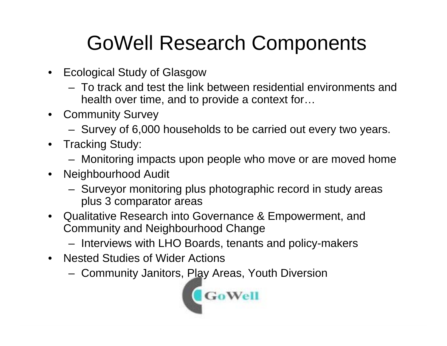#### GoWell Research Components

- Ecological Study of Glasgow
	- To track and test the link between residential environments and health over time, and to provide a context for…
- Community Survey
	- Survey of 6,000 households to be carried out every two years.
- Tracking Study:
	- Monitoring impacts upon people who move or are moved home
- • Neighbourhood Audit
	- Surveyor monitoring plus photographic record in study areas plus 3 comparator areas
- Qualitative Research into Governance & Empowerment, and Community and Neighbourhood Change
	- Interviews with LHO Boards, tenants and policy-makers
- Nested Studies of Wider Actions
	- Community Janitors, Play Areas, Youth Diversion

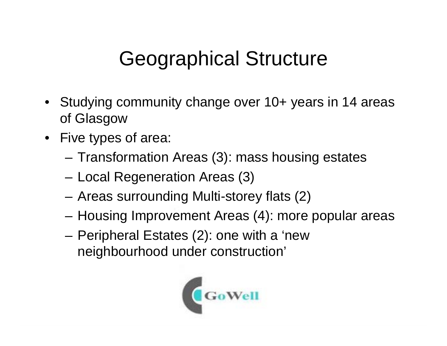### Geographical Structure

- Studying community change over 10+ years in 14 areas of Glasgow
- Five types of area:
	- –Transformation Areas (3): mass housing estates
	- –Local Regeneration Areas (3)
	- –Areas surrounding Multi-storey flats (2)
	- –Housing Improvement Areas (4): more popular areas
	- – Peripheral Estates (2): one with a 'new neighbourhood under construction'

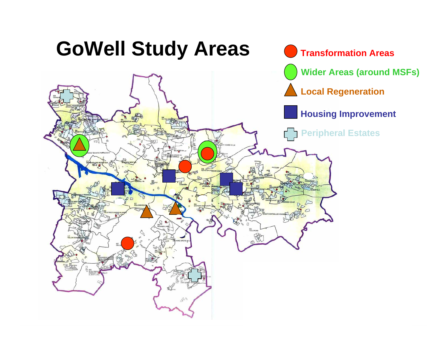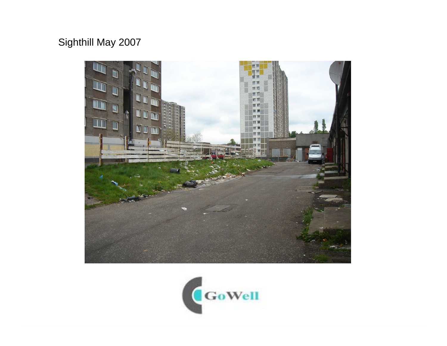#### Sighthill May 2007



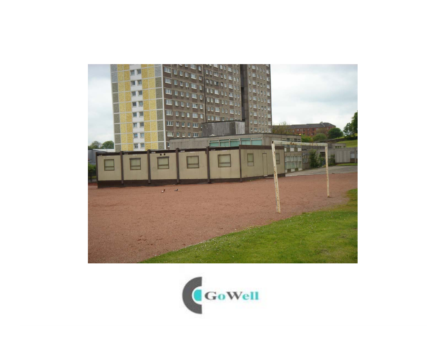

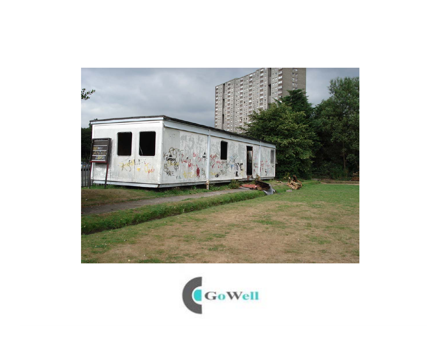

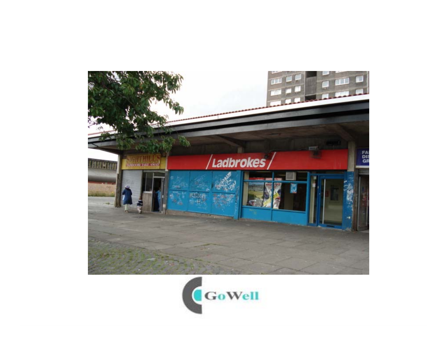

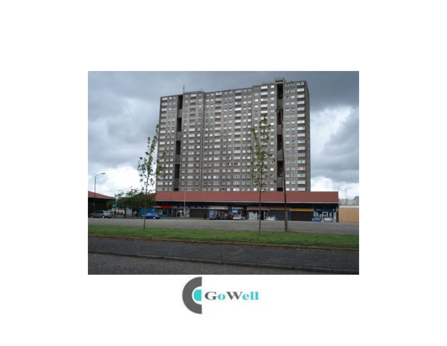

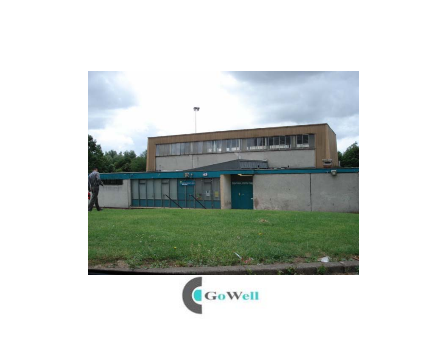

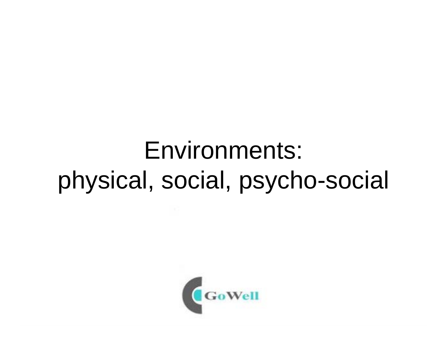

# Environments: physical, social, psycho-social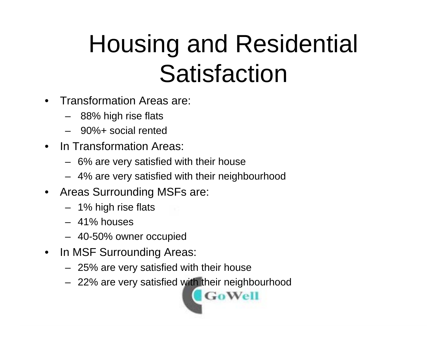## Housing and Residential **Satisfaction**

- • Transformation Areas are:
	- 88% high rise flats
	- 90%+ social rented
- • In Transformation Areas:
	- 6% are very satisfied with their house
	- 4% are very satisfied with their neighbourhood
- Areas Surrounding MSFs are:
	- 1% high rise flats
	- 41% houses
	- 40-50% owner occupied
- In MSF Surrounding Areas:
	- 25% are very satisfied with their house
	- 22% are very satisfied with their neighbourhood

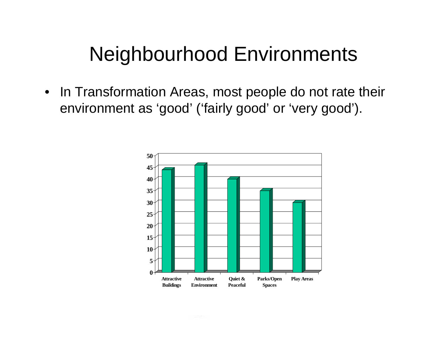#### Neighbourhood Environments

• In Transformation Areas, most people do not rate their environment as 'good' ('fairly good' or 'very good').

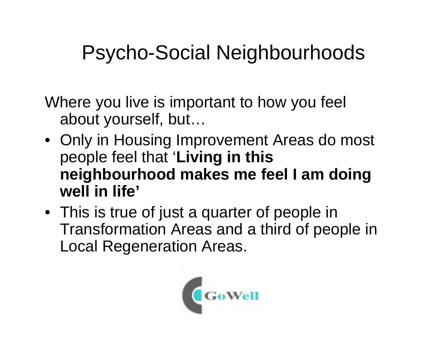#### Psycho-Social Neighbourhoods

Where you live is important to how you feel about yourself, but…

- Only in Housing Improvement Areas do most people feel that '**Living in this neighbourhood makes me feel I am doing well in life'**
- This is true of just a quarter of people in Transformation Areas and a third of people in Local Regeneration Areas.

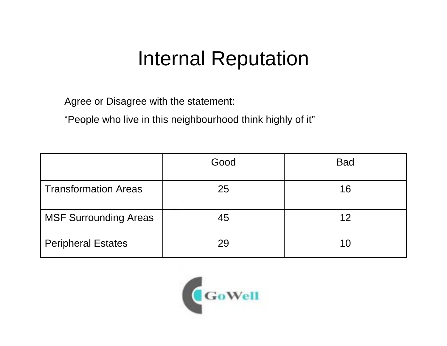#### Internal Reputation

Agree or Disagree with the statement:

"People who live in this neighbourhood think highly of it"

|                              | Good | <b>Bad</b> |
|------------------------------|------|------------|
| <b>Transformation Areas</b>  | 25   | 16         |
| <b>MSF Surrounding Areas</b> | 45   | 12         |
| <b>Peripheral Estates</b>    | 29   | 10         |

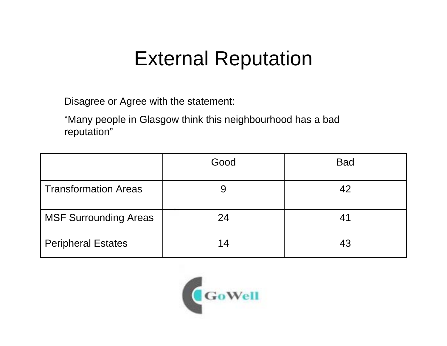#### External Reputation

Disagree or Agree with the statement:

"Many people in Glasgow think this neighbourhood has a bad reputation"

|                              | Good | <b>Bad</b> |
|------------------------------|------|------------|
| <b>Transformation Areas</b>  |      | 42         |
| <b>MSF Surrounding Areas</b> | 24   | 41         |
| <b>Peripheral Estates</b>    | 14   | 43         |

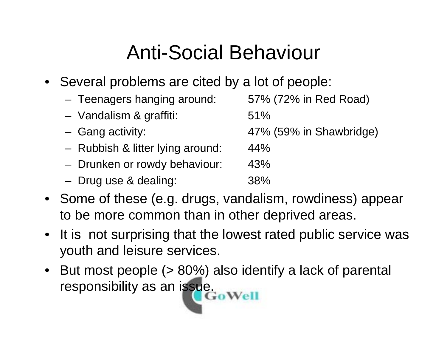#### Anti-Social Behaviour

- Several problems are cited by a lot of people:
	- Teenagers hanging around: 57% (72% in Red Road) Vandalism & graffiti: 51% - Gang activity: 47% (59% in Shawbridge) Rubbish & litter lying around: 44% Drunken or rowdy behaviour: 43% Drug use & dealing: 38%
- Some of these (e.g. drugs, vandalism, rowdiness) appear to be more common than in other deprived areas.
- It is not surprising that the lowest rated public service was youth and leisure services.
- But most people (> 80%) also identify a lack of parental responsibility as an issue.

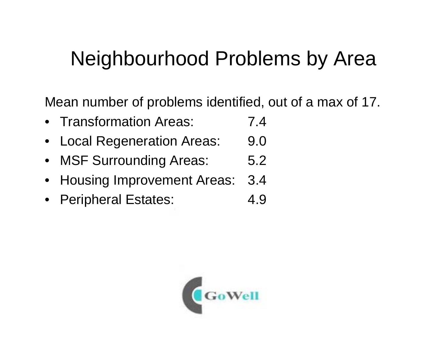#### Neighbourhood Problems by Area

Mean number of problems identified, out of a max of 17.

- • Transformation Areas: 7.4• Local Regeneration Areas: 9.0 •MSF Surrounding Areas: 5.2 • Housing Improvement Areas: 3.4
- •Peripheral Estates: 4.9

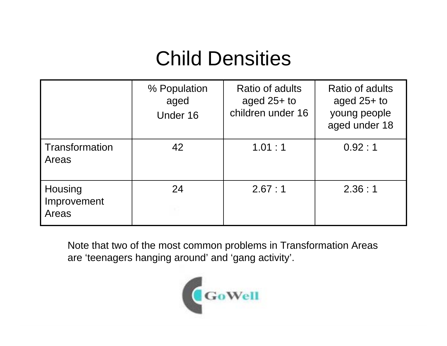#### Child Densities

|                                 | % Population<br>aged<br>Under 16 | Ratio of adults<br>aged $25+$ to<br>children under 16 | Ratio of adults<br>aged $25+$ to<br>young people<br>aged under 18 |
|---------------------------------|----------------------------------|-------------------------------------------------------|-------------------------------------------------------------------|
| Transformation<br>Areas         | 42                               | 1.01:1                                                | 0.92:1                                                            |
| Housing<br>Improvement<br>Areas | 24                               | 2.67:1                                                | 2.36:1                                                            |

Note that two of the most common problems in Transformation Areas are 'teenagers hanging around' and 'gang activity'.

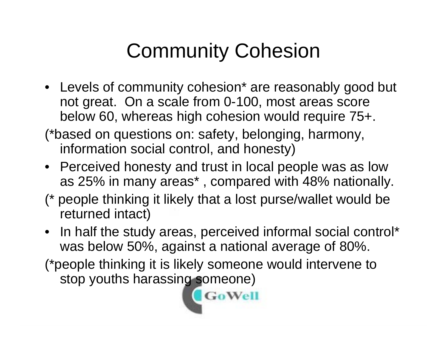#### Community Cohesion

- Levels of community cohesion\* are reasonably good but not great. On a scale from 0-100, most areas score below 60, whereas high cohesion would require 75+.
- (\*based on questions on: safety, belonging, harmony, information social control, and honesty)
- Perceived honesty and trust in local people was as low as 25% in many areas\* , compared with 48% nationally.
- (\* people thinking it likely that a lost purse/wallet would be returned intact)
- In half the study areas, perceived informal social control\* was below 50%, against a national average of 80%.
- (\*people thinking it is likely someone would intervene to stop youths harassing someone)

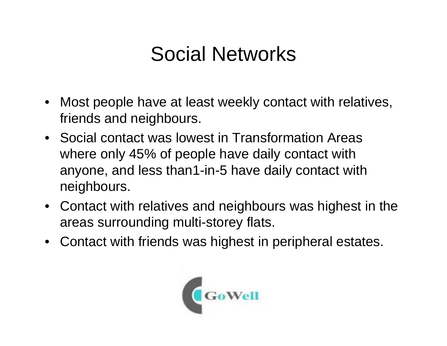#### Social Networks

- Most people have at least weekly contact with relatives, friends and neighbours.
- Social contact was lowest in Transformation Areas where only 45% of people have daily contact with anyone, and less than1-in-5 have daily contact with neighbours.
- Contact with relatives and neighbours was highest in the areas surrounding multi-storey flats.
- Contact with friends was highest in peripheral estates.

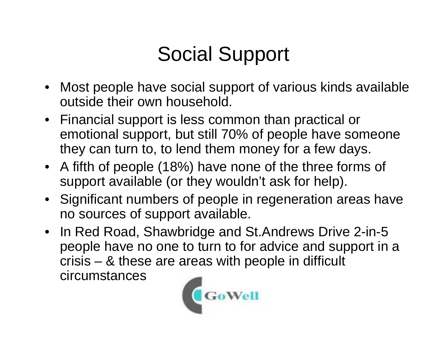#### Social Support

- Most people have social support of various kinds available outside their own household.
- Financial support is less common than practical or emotional support, but still 70% of people have someone they can turn to, to lend them money for a few days.
- A fifth of people (18%) have none of the three forms of support available (or they wouldn't ask for help).
- Significant numbers of people in regeneration areas have no sources of support available.
- In Red Road, Shawbridge and St.Andrews Drive 2-in-5 people have no one to turn to for advice and support in a crisis – & these are areas with people in difficult circumstances

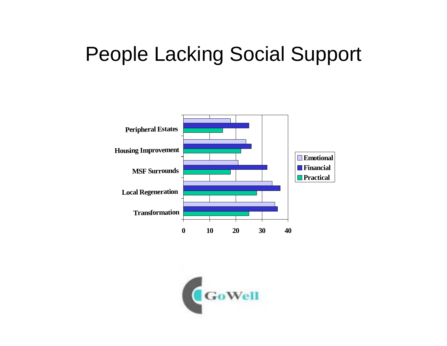#### People Lacking Social Support



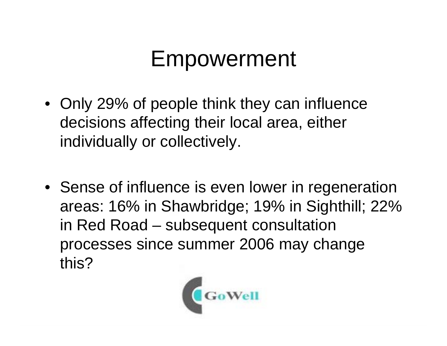#### Empowerment

- Only 29% of people think they can influence decisions affecting their local area, either individually or collectively.
- Sense of influence is even lower in regeneration areas: 16% in Shawbridge; 19% in Sighthill; 22% in Red Road – subsequent consultation processes since summer 2006 may change this?

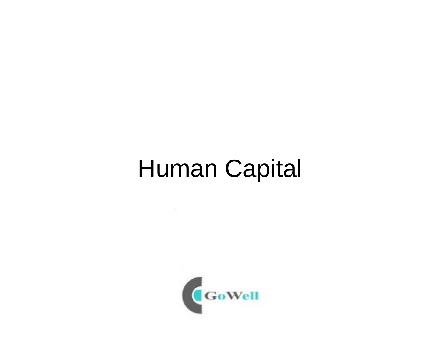### Human Capital

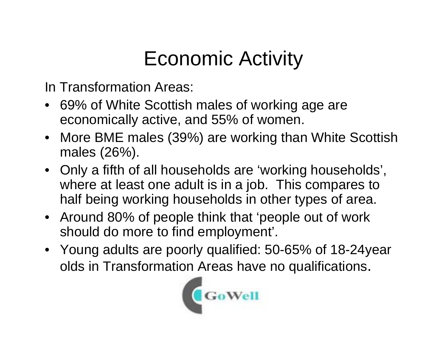#### Economic Activity

In Transformation Areas:

- 69% of White Scottish males of working age are economically active, and 55% of women.
- More BME males (39%) are working than White Scottish males (26%).
- Only a fifth of all households are 'working households', where at least one adult is in a job. This compares to half being working households in other types of area.
- Around 80% of people think that 'people out of work should do more to find employment'.
- Young adults are poorly qualified: 50-65% of 18-24year olds in Transformation Areas have no qualifications.

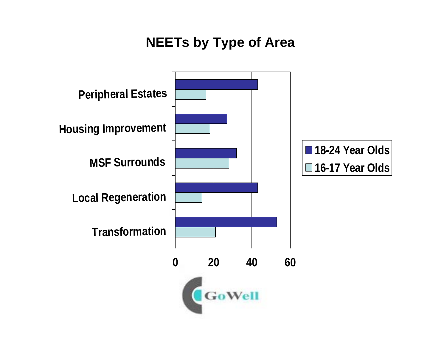#### **NEETs by Type of Area**

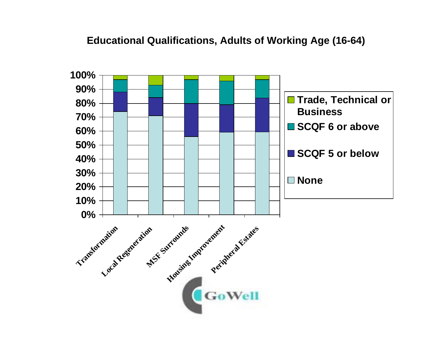#### **Educational Qualifications, Adults of Working Age (16-64)**

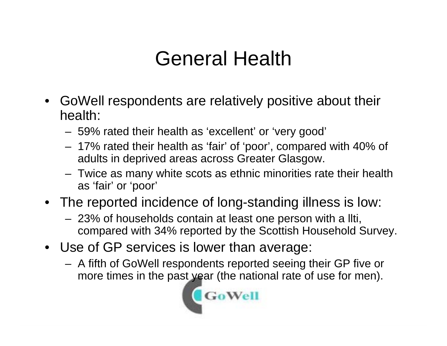#### General Health

- GoWell respondents are relatively positive about their health:
	- 59% rated their health as 'excellent' or 'very good'
	- 17% rated their health as 'fair' of 'poor', compared with 40% of adults in deprived areas across Greater Glasgow.
	- Twice as many white scots as ethnic minorities rate their health as 'fair' or 'poor'
- The reported incidence of long-standing illness is low:
	- 23% of households contain at least one person with a llti, compared with 34% reported by the Scottish Household Survey.
- Use of GP services is lower than average:
	- A fifth of GoWell respondents reported seeing their GP five or more times in the past year (the national rate of use for men).

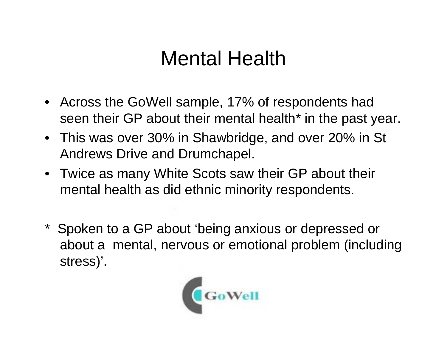#### Mental Health

- Across the GoWell sample, 17% of respondents had seen their GP about their mental health<sup>\*</sup> in the past year.
- This was over 30% in Shawbridge, and over 20% in St Andrews Drive and Drumchapel.
- Twice as many White Scots saw their GP about their mental health as did ethnic minority respondents.
- \* Spoken to a GP about 'being anxious or depressed or about a mental, nervous or emotional problem (including stress)'.

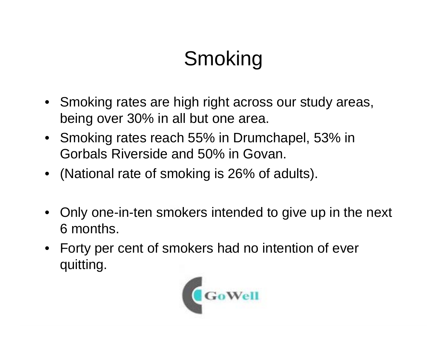### **Smoking**

- Smoking rates are high right across our study areas, being over 30% in all but one area.
- Smoking rates reach 55% in Drumchapel, 53% in Gorbals Riverside and 50% in Govan.
- (National rate of smoking is 26% of adults).
- Only one-in-ten smokers intended to give up in the next 6 months.
- Forty per cent of smokers had no intention of ever quitting.

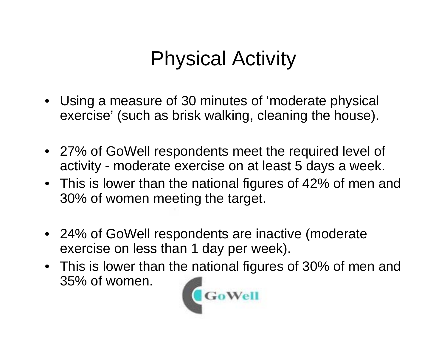#### Physical Activity

- Using a measure of 30 minutes of 'moderate physical exercise' (such as brisk walking, cleaning the house).
- 27% of GoWell respondents meet the required level of activity - moderate exercise on at least 5 days a week.
- This is lower than the national figures of 42% of men and 30% of women meeting the target.
- 24% of GoWell respondents are inactive (moderate exercise on less than 1 day per week).
- This is lower than the national figures of 30% of men and 35% of women.

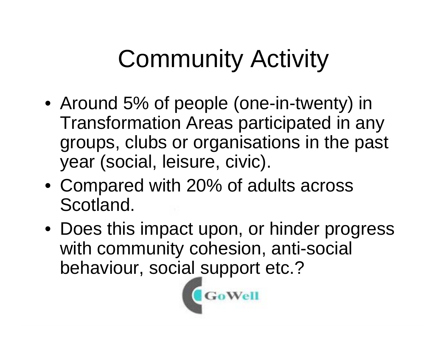# Community Activity

- Around 5% of people (one-in-twenty) in Transformation Areas participated in any groups, clubs or organisations in the past year (social, leisure, civic).
- Compared with 20% of adults across Scotland.
- Does this impact upon, or hinder progress with community cohesion, anti-social behaviour, social support etc.?

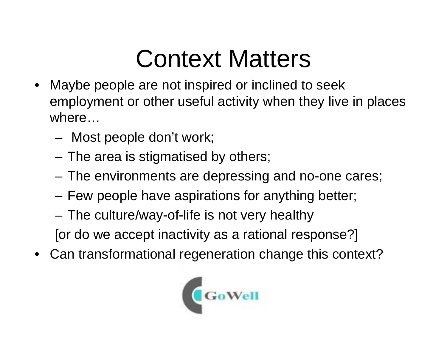### Context Matters

- • Maybe people are not inspired or inclined to seek employment or other useful activity when they live in places where…
	- and the state of the Most people don't work;
	- and the state of the The area is stigmatised by others;
	- and the state of the The environments are depressing and no-one cares;
	- and the state of the Few people have aspirations for anything better;
	- and the state of the The culture/way-of-life is not very healthy [or do we accept inactivity as a rational response?]
- •Can transformational regeneration change this context?